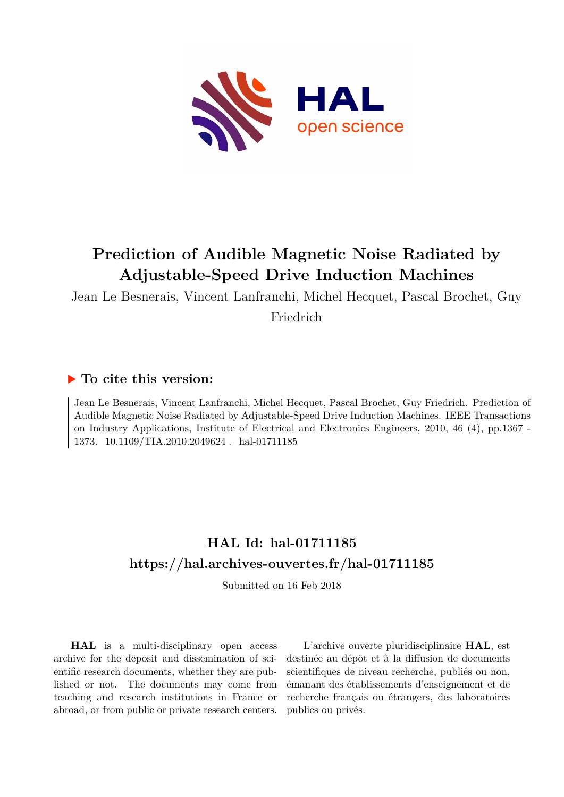

## **Prediction of Audible Magnetic Noise Radiated by Adjustable-Speed Drive Induction Machines**

Jean Le Besnerais, Vincent Lanfranchi, Michel Hecquet, Pascal Brochet, Guy Friedrich

### **To cite this version:**

Jean Le Besnerais, Vincent Lanfranchi, Michel Hecquet, Pascal Brochet, Guy Friedrich. Prediction of Audible Magnetic Noise Radiated by Adjustable-Speed Drive Induction Machines. IEEE Transactions on Industry Applications, Institute of Electrical and Electronics Engineers, 2010, 46 (4), pp.1367 - 1373. 10.1109/TIA.2010.2049624. hal-01711185

## **HAL Id: hal-01711185 <https://hal.archives-ouvertes.fr/hal-01711185>**

Submitted on 16 Feb 2018

**HAL** is a multi-disciplinary open access archive for the deposit and dissemination of scientific research documents, whether they are published or not. The documents may come from teaching and research institutions in France or abroad, or from public or private research centers.

L'archive ouverte pluridisciplinaire **HAL**, est destinée au dépôt et à la diffusion de documents scientifiques de niveau recherche, publiés ou non, émanant des établissements d'enseignement et de recherche français ou étrangers, des laboratoires publics ou privés.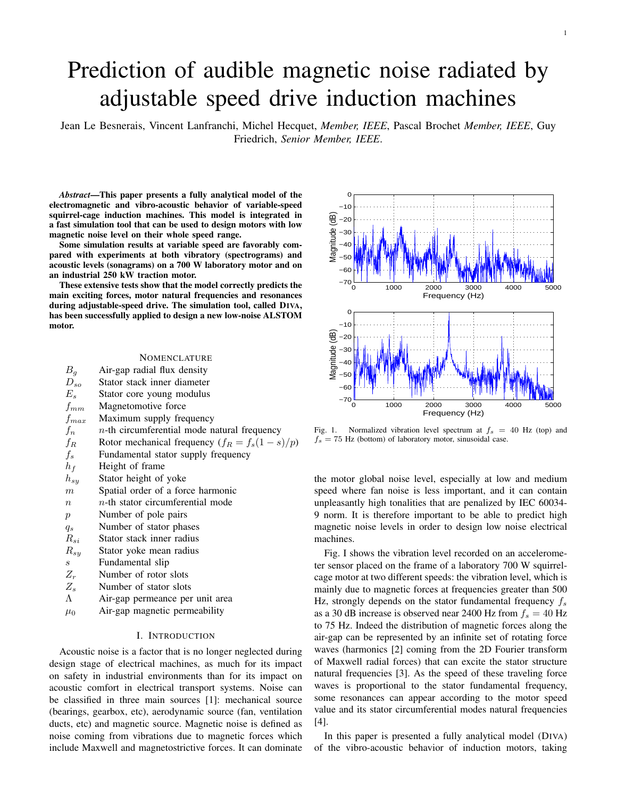# Prediction of audible magnetic noise radiated by adjustable speed drive induction machines

Jean Le Besnerais, Vincent Lanfranchi, Michel Hecquet, *Member, IEEE*, Pascal Brochet *Member, IEEE*, Guy Friedrich, *Senior Member, IEEE*.

*Abstract*—This paper presents a fully analytical model of the electromagnetic and vibro-acoustic behavior of variable-speed squirrel-cage induction machines. This model is integrated in a fast simulation tool that can be used to design motors with low magnetic noise level on their whole speed range.

Some simulation results at variable speed are favorably compared with experiments at both vibratory (spectrograms) and acoustic levels (sonagrams) on a 700 W laboratory motor and on an industrial 250 kW traction motor.

These extensive tests show that the model correctly predicts the main exciting forces, motor natural frequencies and resonances during adjustable-speed drive. The simulation tool, called DIVA, has been successfully applied to design a new low-noise ALSTOM motor.

#### **NOMENCLATURE**

| $B_q$            | Air-gap radial flux density                       |  |  |
|------------------|---------------------------------------------------|--|--|
| $D_{so}$         | Stator stack inner diameter                       |  |  |
| $E_s$            | Stator core young modulus                         |  |  |
| $f_{mm}$         | Magnetomotive force                               |  |  |
| $f_{max}$        | Maximum supply frequency                          |  |  |
| $f_n$            | $n$ -th circumferential mode natural frequency    |  |  |
| $f_R$            | Rotor mechanical frequency $(f_R = f_s(1 - s)/p)$ |  |  |
| $f_s$            | Fundamental stator supply frequency               |  |  |
| $h_f$            | Height of frame                                   |  |  |
| $h_{sy}$         | Stator height of yoke                             |  |  |
| $\boldsymbol{m}$ | Spatial order of a force harmonic                 |  |  |
| $\, n$           | $n$ -th stator circumferential mode               |  |  |
| $\mathcal{p}$    | Number of pole pairs                              |  |  |
| $q_s$            | Number of stator phases                           |  |  |
| $R_{si}$         | Stator stack inner radius                         |  |  |
| $R_{sy}$         | Stator yoke mean radius                           |  |  |
| $\boldsymbol{s}$ | Fundamental slip                                  |  |  |
| $Z_r$            | Number of rotor slots                             |  |  |
| $Z_s$            | Number of stator slots                            |  |  |
| Λ                | Air-gap permeance per unit area                   |  |  |
| $\mu_0$          | Air-gap magnetic permeability                     |  |  |

#### I. INTRODUCTION

Acoustic noise is a factor that is no longer neglected during design stage of electrical machines, as much for its impact on safety in industrial environments than for its impact on acoustic comfort in electrical transport systems. Noise can be classified in three main sources [1]: mechanical source (bearings, gearbox, etc), aerodynamic source (fan, ventilation ducts, etc) and magnetic source. Magnetic noise is defined as noise coming from vibrations due to magnetic forces which include Maxwell and magnetostrictive forces. It can dominate



Fig. 1. Normalized vibration level spectrum at  $f_s = 40$  Hz (top) and  $f_s = 75$  Hz (bottom) of laboratory motor, sinusoidal case.

the motor global noise level, especially at low and medium speed where fan noise is less important, and it can contain unpleasantly high tonalities that are penalized by IEC 60034- 9 norm. It is therefore important to be able to predict high magnetic noise levels in order to design low noise electrical machines.

Fig. I shows the vibration level recorded on an accelerometer sensor placed on the frame of a laboratory 700 W squirrelcage motor at two different speeds: the vibration level, which is mainly due to magnetic forces at frequencies greater than 500 Hz, strongly depends on the stator fundamental frequency  $f_s$ as a 30 dB increase is observed near 2400 Hz from  $f_s = 40$  Hz to 75 Hz. Indeed the distribution of magnetic forces along the air-gap can be represented by an infinite set of rotating force waves (harmonics [2] coming from the 2D Fourier transform of Maxwell radial forces) that can excite the stator structure natural frequencies [3]. As the speed of these traveling force waves is proportional to the stator fundamental frequency, some resonances can appear according to the motor speed value and its stator circumferential modes natural frequencies [4].

In this paper is presented a fully analytical model (DIVA) of the vibro-acoustic behavior of induction motors, taking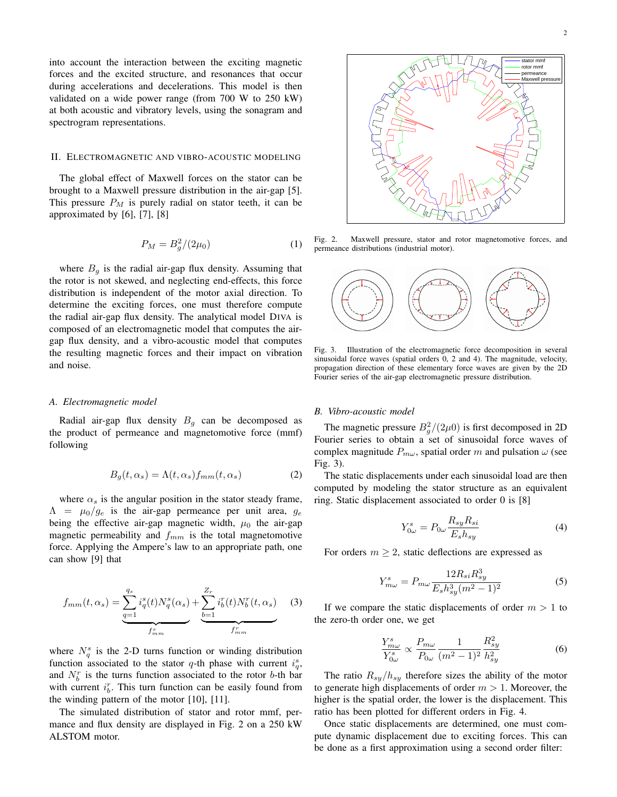into account the interaction between the exciting magnetic forces and the excited structure, and resonances that occur during accelerations and decelerations. This model is then validated on a wide power range (from 700 W to 250 kW) at both acoustic and vibratory levels, using the sonagram and spectrogram representations.

#### II. ELECTROMAGNETIC AND VIBRO-ACOUSTIC MODELING

The global effect of Maxwell forces on the stator can be brought to a Maxwell pressure distribution in the air-gap [5]. This pressure  $P_M$  is purely radial on stator teeth, it can be approximated by [6], [7], [8]

$$
P_M = B_g^2 / (2\mu_0) \tag{1}
$$

where  $B_q$  is the radial air-gap flux density. Assuming that the rotor is not skewed, and neglecting end-effects, this force distribution is independent of the motor axial direction. To determine the exciting forces, one must therefore compute the radial air-gap flux density. The analytical model DIVA is composed of an electromagnetic model that computes the airgap flux density, and a vibro-acoustic model that computes the resulting magnetic forces and their impact on vibration and noise.

#### *A. Electromagnetic model*

Radial air-gap flux density  $B_g$  can be decomposed as the product of permeance and magnetomotive force (mmf) following

$$
B_g(t, \alpha_s) = \Lambda(t, \alpha_s) f_{mm}(t, \alpha_s)
$$
 (2)

where  $\alpha_s$  is the angular position in the stator steady frame,  $\Lambda = \mu_0/g_e$  is the air-gap permeance per unit area,  $g_e$ being the effective air-gap magnetic width,  $\mu_0$  the air-gap magnetic permeability and  $f_{mm}$  is the total magnetomotive force. Applying the Ampere's law to an appropriate path, one can show [9] that

$$
f_{mm}(t, \alpha_s) = \underbrace{\sum_{q=1}^{q_s} i_q^s(t) N_q^s(\alpha_s)}_{f_{mm}^s} + \underbrace{\sum_{b=1}^{Z_r} i_b^r(t) N_b^r(t, \alpha_s)}_{f_{mm}^r}
$$
 (3)

where  $N_q^s$  is the 2-D turns function or winding distribution function associated to the stator q-th phase with current  $i_q^s$ , and  $N_b^r$  is the turns function associated to the rotor b-th bar with current  $i_b^r$ . This turn function can be easily found from the winding pattern of the motor [10], [11].

The simulated distribution of stator and rotor mmf, permance and flux density are displayed in Fig. 2 on a 250 kW ALSTOM motor.



Fig. 2. Maxwell pressure, stator and rotor magnetomotive forces, and permeance distributions (industrial motor).



Fig. 3. Illustration of the electromagnetic force decomposition in several sinusoidal force waves (spatial orders 0, 2 and 4). The magnitude, velocity, propagation direction of these elementary force waves are given by the 2D Fourier series of the air-gap electromagnetic pressure distribution.

#### *B. Vibro-acoustic model*

The magnetic pressure  $B_g^2/(2\mu 0)$  is first decomposed in 2D Fourier series to obtain a set of sinusoidal force waves of complex magnitude  $P_{m\omega}$ , spatial order m and pulsation  $\omega$  (see Fig. 3).

The static displacements under each sinusoidal load are then computed by modeling the stator structure as an equivalent ring. Static displacement associated to order 0 is [8]

$$
Y_{0\omega}^s = P_{0\omega} \frac{R_{sy} R_{si}}{E_s h_{sy}}
$$
(4)

For orders  $m \geq 2$ , static deflections are expressed as

$$
Y_{m\omega}^{s} = P_{m\omega} \frac{12R_{si}R_{sy}^{3}}{E_{s}h_{sy}^{3}(m^{2}-1)^{2}}
$$
 (5)

If we compare the static displacements of order  $m > 1$  to the zero-th order one, we get

$$
\frac{Y_{m\omega}^{s}}{Y_{0\omega}^{s}} \propto \frac{P_{m\omega}}{P_{0\omega}} \frac{1}{(m^{2}-1)^{2}} \frac{R_{sy}^{2}}{h_{sy}^{2}} \tag{6}
$$

The ratio  $R_{syl}/h_{syl}$  therefore sizes the ability of the motor to generate high displacements of order  $m > 1$ . Moreover, the higher is the spatial order, the lower is the displacement. This ratio has been plotted for different orders in Fig. 4.

Once static displacements are determined, one must compute dynamic displacement due to exciting forces. This can be done as a first approximation using a second order filter: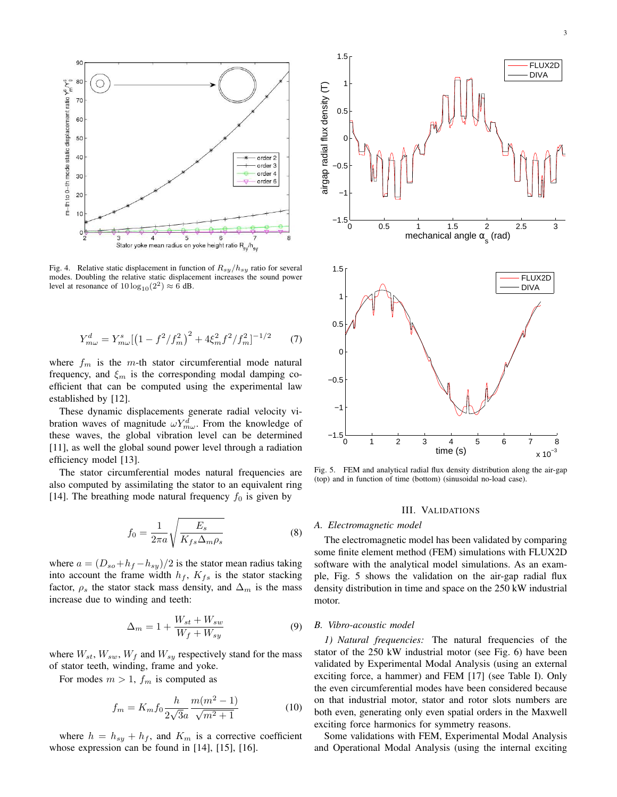

Fig. 4. Relative static displacement in function of  $R_{sy}/h_{sy}$  ratio for several modes. Doubling the relative static displacement increases the sound power level at resonance of  $10 \log_{10}(2^2) \approx 6$  dB.

$$
Y_{m\omega}^{d} = Y_{m\omega}^{s} \left[ \left( 1 - f^{2} / f_{m}^{2} \right)^{2} + 4\xi_{m}^{2} f^{2} / f_{m}^{2} \right]^{-1/2} \tag{7}
$$

where  $f_m$  is the m-th stator circumferential mode natural frequency, and  $\xi_m$  is the corresponding modal damping coefficient that can be computed using the experimental law established by [12].

These dynamic displacements generate radial velocity vibration waves of magnitude  $\omega Y_{m\omega}^d$ . From the knowledge of these waves, the global vibration level can be determined [11], as well the global sound power level through a radiation efficiency model [13].

The stator circumferential modes natural frequencies are also computed by assimilating the stator to an equivalent ring [14]. The breathing mode natural frequency  $f_0$  is given by

$$
f_0 = \frac{1}{2\pi a} \sqrt{\frac{E_s}{K_{fs}\Delta_m \rho_s}}
$$
(8)

where  $a = (D_{so} + h_f - h_{sy})/2$  is the stator mean radius taking into account the frame width  $h_f$ ,  $K_{fs}$  is the stator stacking factor,  $\rho_s$  the stator stack mass density, and  $\Delta_m$  is the mass increase due to winding and teeth:

$$
\Delta_m = 1 + \frac{W_{st} + W_{sw}}{W_f + W_{sy}} \tag{9}
$$

where  $W_{st}$ ,  $W_{sw}$ ,  $W_f$  and  $W_{sy}$  respectively stand for the mass of stator teeth, winding, frame and yoke.

For modes  $m > 1$ ,  $f_m$  is computed as

$$
f_m = K_m f_0 \frac{h}{2\sqrt{3}a} \frac{m(m^2 - 1)}{\sqrt{m^2 + 1}}
$$
 (10)

where  $h = h_{sy} + h_f$ , and  $K_m$  is a corrective coefficient whose expression can be found in [14], [15], [16].



Fig. 5. FEM and analytical radial flux density distribution along the air-gap (top) and in function of time (bottom) (sinusoidal no-load case).

#### III. VALIDATIONS

#### *A. Electromagnetic model*

The electromagnetic model has been validated by comparing some finite element method (FEM) simulations with FLUX2D software with the analytical model simulations. As an example, Fig. 5 shows the validation on the air-gap radial flux density distribution in time and space on the 250 kW industrial motor.

#### *B. Vibro-acoustic model*

*1) Natural frequencies:* The natural frequencies of the stator of the 250 kW industrial motor (see Fig. 6) have been validated by Experimental Modal Analysis (using an external exciting force, a hammer) and FEM [17] (see Table I). Only the even circumferential modes have been considered because on that industrial motor, stator and rotor slots numbers are both even, generating only even spatial orders in the Maxwell exciting force harmonics for symmetry reasons.

Some validations with FEM, Experimental Modal Analysis and Operational Modal Analysis (using the internal exciting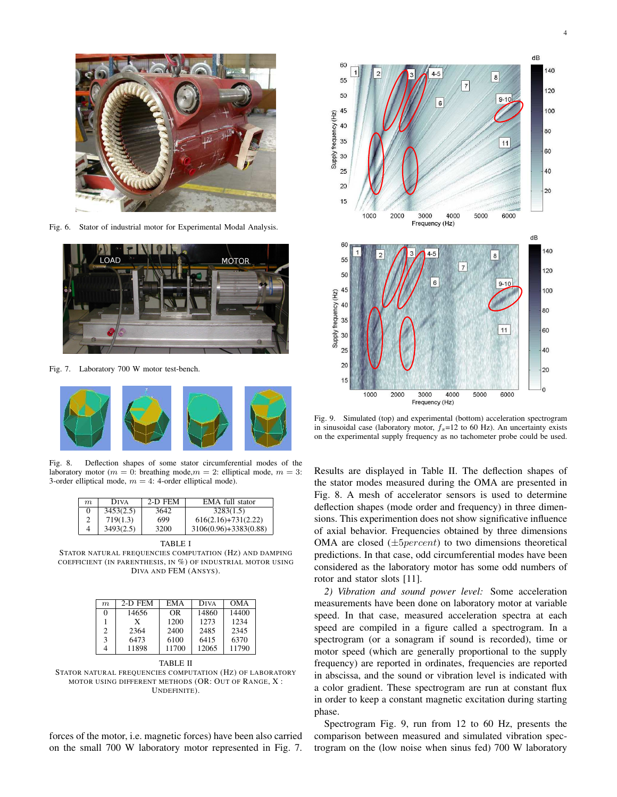

Fig. 6. Stator of industrial motor for Experimental Modal Analysis.



Fig. 7. Laboratory 700 W motor test-bench.



Fig. 8. Deflection shapes of some stator circumferential modes of the laboratory motor ( $m = 0$ : breathing mode, $m = 2$ : elliptical mode,  $m = 3$ : 3-order elliptical mode,  $m = 4$ : 4-order elliptical mode).

| 3453(2.5)<br>3642<br>3283(1.5)                 |  |
|------------------------------------------------|--|
| $616(2.16) + 731(2.22)$<br>719(1.3)<br>699     |  |
| $3106(0.96) + 3383(0.88)$<br>3493(2.5)<br>3200 |  |

TABLE I STATOR NATURAL FREQUENCIES COMPUTATION (HZ) AND DAMPING COEFFICIENT (IN PARENTHESIS, IN %) OF INDUSTRIAL MOTOR USING DIVA AND FEM (ANSYS).

| m | 2-D FEM | <b>EMA</b> | <b>DIVA</b> | <b>OMA</b> |
|---|---------|------------|-------------|------------|
| 0 | 14656   | OR.        | 14860       | 14400      |
|   | X       | 1200       | 1273        | 1234       |
| 2 | 2364    | 2400       | 2485        | 2345       |
| 3 | 6473    | 6100       | 6415        | 6370       |
|   | 11898   | 11700      | 12065       | 11790      |

TABLE II STATOR NATURAL FREQUENCIES COMPUTATION (HZ) OF LABORATORY MOTOR USING DIFFERENT METHODS (OR: OUT OF RANGE, X : UNDEFINITE).

forces of the motor, i.e. magnetic forces) have been also carried on the small 700 W laboratory motor represented in Fig. 7.



Fig. 9. Simulated (top) and experimental (bottom) acceleration spectrogram in sinusoidal case (laboratory motor,  $f_s$ =12 to 60 Hz). An uncertainty exists on the experimental supply frequency as no tachometer probe could be used.

Results are displayed in Table II. The deflection shapes of the stator modes measured during the OMA are presented in Fig. 8. A mesh of accelerator sensors is used to determine deflection shapes (mode order and frequency) in three dimensions. This experimention does not show significative influence of axial behavior. Frequencies obtained by three dimensions OMA are closed  $(\pm 5percent)$  to two dimensions theoretical predictions. In that case, odd circumferential modes have been considered as the laboratory motor has some odd numbers of rotor and stator slots [11].

*2) Vibration and sound power level:* Some acceleration measurements have been done on laboratory motor at variable speed. In that case, measured acceleration spectra at each speed are compiled in a figure called a spectrogram. In a spectrogram (or a sonagram if sound is recorded), time or motor speed (which are generally proportional to the supply frequency) are reported in ordinates, frequencies are reported in abscissa, and the sound or vibration level is indicated with a color gradient. These spectrogram are run at constant flux in order to keep a constant magnetic excitation during starting phase.

Spectrogram Fig. 9, run from 12 to 60 Hz, presents the comparison between measured and simulated vibration spectrogram on the (low noise when sinus fed) 700 W laboratory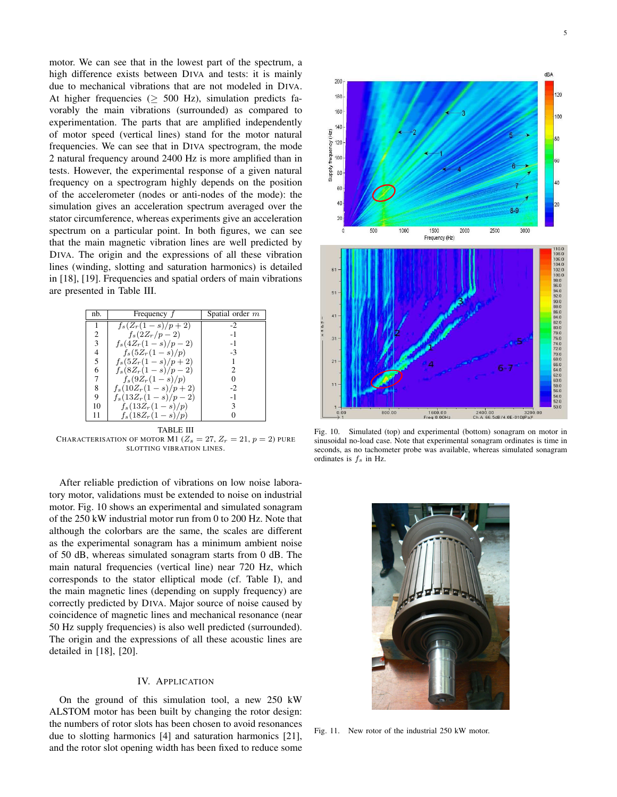motor. We can see that in the lowest part of the spectrum, a high difference exists between DIVA and tests: it is mainly due to mechanical vibrations that are not modeled in DIVA. At higher frequencies ( $\geq$  500 Hz), simulation predicts favorably the main vibrations (surrounded) as compared to experimentation. The parts that are amplified independently of motor speed (vertical lines) stand for the motor natural frequencies. We can see that in DIVA spectrogram, the mode 2 natural frequency around 2400 Hz is more amplified than in tests. However, the experimental response of a given natural frequency on a spectrogram highly depends on the position of the accelerometer (nodes or anti-nodes of the mode): the simulation gives an acceleration spectrum averaged over the stator circumference, whereas experiments give an acceleration spectrum on a particular point. In both figures, we can see that the main magnetic vibration lines are well predicted by DIVA. The origin and the expressions of all these vibration lines (winding, slotting and saturation harmonics) is detailed in [18], [19]. Frequencies and spatial orders of main vibrations are presented in Table III.

| nb. | Frequency $f$         | Spatial order $m$ |
|-----|-----------------------|-------------------|
|     | $f_s(Z_r(1-s)/p+2)$   | $-2$              |
| 2   | $f_s(2Z_r/p-2)$       | $-1$              |
| 3   | $f_s(4Z_r(1-s)/p-2)$  | $-1$              |
| 4   | $f_s(5Z_r(1-s)/p)$    | $-3$              |
| 5   | $f_s(5Z_r(1-s)/p+2)$  |                   |
| 6   | $f_s(8Z_r(1-s)/p-2)$  |                   |
| 7   | $f_s(9Z_r(1-s)/p)$    |                   |
| 8   | $f_s(10Z_r(1-s)/p+2)$ | $-2$              |
| 9   | $f_s(13Z_r(1-s)/p-2)$ | $-1$              |
| 10  | $f_s(13Z_r(1-s)/p)$   |                   |
| 11  | $f_s(18Z_r(1-s)/p)$   |                   |

TABLE III CHARACTERISATION OF MOTOR M1 ( $Z_s = 27$ ,  $Z_r = 21$ ,  $p = 2$ ) pure SLOTTING VIBRATION LINES.

After reliable prediction of vibrations on low noise laboratory motor, validations must be extended to noise on industrial motor. Fig. 10 shows an experimental and simulated sonagram of the 250 kW industrial motor run from 0 to 200 Hz. Note that although the colorbars are the same, the scales are different as the experimental sonagram has a minimum ambient noise of 50 dB, whereas simulated sonagram starts from 0 dB. The main natural frequencies (vertical line) near 720 Hz, which corresponds to the stator elliptical mode (cf. Table I), and the main magnetic lines (depending on supply frequency) are correctly predicted by DIVA. Major source of noise caused by coincidence of magnetic lines and mechanical resonance (near 50 Hz supply frequencies) is also well predicted (surrounded). The origin and the expressions of all these acoustic lines are detailed in [18], [20].

#### IV. APPLICATION

On the ground of this simulation tool, a new 250 kW ALSTOM motor has been built by changing the rotor design: the numbers of rotor slots has been chosen to avoid resonances due to slotting harmonics [4] and saturation harmonics [21], and the rotor slot opening width has been fixed to reduce some



Fig. 10. Simulated (top) and experimental (bottom) sonagram on motor in sinusoidal no-load case. Note that experimental sonagram ordinates is time in seconds, as no tachometer probe was available, whereas simulated sonagram ordinates is  $f_s$  in Hz.



Fig. 11. New rotor of the industrial 250 kW motor.